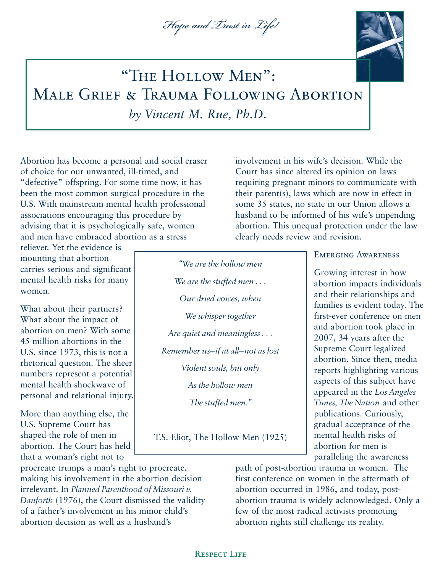## *Hope and Trust in Life!*



# "The Hollow Men": Male Grief & Trauma Following Abortion *by Vincent M. Rue, Ph.D.*

Abortion has become a personal and social eraser of choice for our unwanted, ill-timed, and "defective" offspring. For some time now, it has been the most common surgical procedure in the U.S. With mainstream mental health professional associations encouraging this procedure by advising that it is psychologically safe, women and men have embraced abortion as a stress

reliever. Yet the evidence is mounting that abortion carries serious and significant mental health risks for many women.

What about their partners? What about the impact of abortion on men? With some 45 million abortions in the U.S. since 1973, this is not a rhetorical question. The sheer numbers represent a potential mental health shockwave of personal and relational injury.

More than anything else, the U.S. Supreme Court has shaped the role of men in abortion. The Court has held that a woman's right not to

procreate trumps a man's right to procreate, making his involvement in the abortion decision irrelevant. In *Planned Parenthood of Missouri v. Danforth* (1976), the Court dismissed the validity of a father's involvement in his minor child's abortion decision as well as a husband's

clearly needs review and revision. *"We are the hollow men We are the stuffed men . . . Our dried voices, when We whisper together Are quiet and meaningless . . . Remember us—if at all—not as lost Violent souls, but only As the hollow men*

*The stuffed men."*

T.S. Eliot, The Hollow Men (1925)

### Emerging Awareness

involvement in his wife's decision. While the Court has since altered its opinion on laws

requiring pregnant minors to communicate with their parent(s), laws which are now in effect in some 35 states, no state in our Union allows a husband to be informed of his wife's impending abortion. This unequal protection under the law

> Growing interest in how abortion impacts individuals and their relationships and families is evident today. The first-ever conference on men and abortion took place in 2007, 34 years after the Supreme Court legalized abortion. Since then, media reports highlighting various aspects of this subject have appeared in the *Los Angeles Times, The Nation* and other publications. Curiously, gradual acceptance of the mental health risks of abortion for men is paralleling the awareness

path of post-abortion trauma in women. The first conference on women in the aftermath of abortion occurred in 1986, and today, postabortion trauma is widely acknowledged. Only a few of the most radical activists promoting abortion rights still challenge its reality.

Respect Life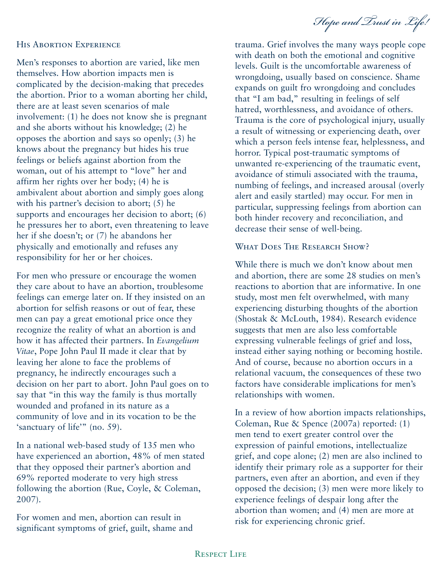*Hope and Trust in Life!*

#### His Abortion Experience

Men's responses to abortion are varied, like men themselves. How abortion impacts men is complicated by the decision-making that precedes the abortion. Prior to a woman aborting her child, there are at least seven scenarios of male involvement: (1) he does not know she is pregnant and she aborts without his knowledge; (2) he opposes the abortion and says so openly; (3) he knows about the pregnancy but hides his true feelings or beliefs against abortion from the woman, out of his attempt to "love" her and affirm her rights over her body; (4) he is ambivalent about abortion and simply goes along with his partner's decision to abort; (5) he supports and encourages her decision to abort; (6) he pressures her to abort, even threatening to leave her if she doesn't; or (7) he abandons her physically and emotionally and refuses any responsibility for her or her choices.

For men who pressure or encourage the women they care about to have an abortion, troublesome feelings can emerge later on. If they insisted on an abortion for selfish reasons or out of fear, these men can pay a great emotional price once they recognize the reality of what an abortion is and how it has affected their partners. In *Evangelium Vitae*, Pope John Paul II made it clear that by leaving her alone to face the problems of pregnancy, he indirectly encourages such a decision on her part to abort. John Paul goes on to say that "in this way the family is thus mortally wounded and profaned in its nature as a community of love and in its vocation to be the 'sanctuary of life'" (no. 59).

In a national web-based study of 135 men who have experienced an abortion, 48% of men stated that they opposed their partner's abortion and 69% reported moderate to very high stress following the abortion (Rue, Coyle, & Coleman, 2007).

For women and men, abortion can result in significant symptoms of grief, guilt, shame and trauma. Grief involves the many ways people cope with death on both the emotional and cognitive levels. Guilt is the uncomfortable awareness of wrongdoing, usually based on conscience. Shame expands on guilt fro wrongdoing and concludes that "I am bad," resulting in feelings of self hatred, worthlessness, and avoidance of others. Trauma is the core of psychological injury, usually a result of witnessing or experiencing death, over which a person feels intense fear, helplessness, and horror. Typical post-traumatic symptoms of unwanted re-experiencing of the traumatic event, avoidance of stimuli associated with the trauma, numbing of feelings, and increased arousal (overly alert and easily startled) may occur. For men in particular, suppressing feelings from abortion can both hinder recovery and reconciliation, and decrease their sense of well-being.

## WHAT DOES THE RESEARCH SHOW?

While there is much we don't know about men and abortion, there are some 28 studies on men's reactions to abortion that are informative. In one study, most men felt overwhelmed, with many experiencing disturbing thoughts of the abortion (Shostak & McLouth, 1984). Research evidence suggests that men are also less comfortable expressing vulnerable feelings of grief and loss, instead either saying nothing or becoming hostile. And of course, because no abortion occurs in a relational vacuum, the consequences of these two factors have considerable implications for men's relationships with women.

In a review of how abortion impacts relationships, Coleman, Rue & Spence (2007a) reported: (1) men tend to exert greater control over the expression of painful emotions, intellectualize grief, and cope alone; (2) men are also inclined to identify their primary role as a supporter for their partners, even after an abortion, and even if they opposed the decision; (3) men were more likely to experience feelings of despair long after the abortion than women; and (4) men are more at risk for experiencing chronic grief.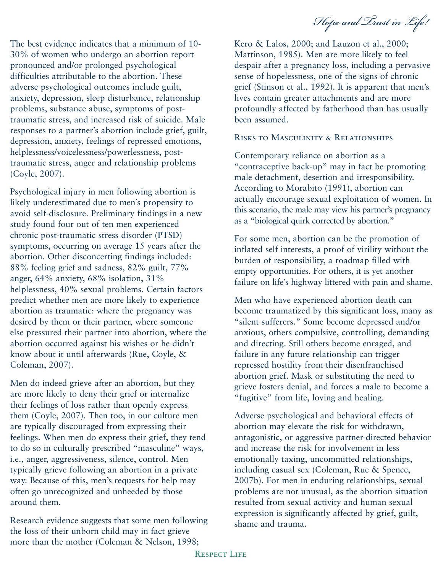*Hope and Trust in Life!*

The best evidence indicates that a minimum of 10- 30% of women who undergo an abortion report pronounced and/or prolonged psychological difficulties attributable to the abortion. These adverse psychological outcomes include guilt, anxiety, depression, sleep disturbance, relationship problems, substance abuse, symptoms of posttraumatic stress, and increased risk of suicide. Male responses to a partner's abortion include grief, guilt, depression, anxiety, feelings of repressed emotions, helplessness/voicelessness/powerlessness, posttraumatic stress, anger and relationship problems (Coyle, 2007).

Psychological injury in men following abortion is likely underestimated due to men's propensity to avoid self-disclosure. Preliminary findings in a new study found four out of ten men experienced chronic post-traumatic stress disorder (PTSD) symptoms, occurring on average 15 years after the abortion. Other disconcerting findings included: 88% feeling grief and sadness, 82% guilt, 77% anger, 64% anxiety, 68% isolation, 31% helplessness, 40% sexual problems. Certain factors predict whether men are more likely to experience abortion as traumatic: where the pregnancy was desired by them or their partner, where someone else pressured their partner into abortion, where the abortion occurred against his wishes or he didn't know about it until afterwards (Rue, Coyle, & Coleman, 2007).

Men do indeed grieve after an abortion, but they are more likely to deny their grief or internalize their feelings of loss rather than openly express them (Coyle, 2007). Then too, in our culture men are typically discouraged from expressing their feelings. When men do express their grief, they tend to do so in culturally prescribed "masculine" ways, i.e., anger, aggressiveness, silence, control. Men typically grieve following an abortion in a private way. Because of this, men's requests for help may often go unrecognized and unheeded by those around them.

Research evidence suggests that some men following the loss of their unborn child may in fact grieve more than the mother (Coleman & Nelson, 1998;

Kero & Lalos, 2000; and Lauzon et al., 2000; Mattinson, 1985). Men are more likely to feel despair after a pregnancy loss, including a pervasive sense of hopelessness, one of the signs of chronic grief (Stinson et al., 1992). It is apparent that men's lives contain greater attachments and are more profoundly affected by fatherhood than has usually been assumed.

## Risks to Masculinity & Relationships

Contemporary reliance on abortion as a "contraceptive back-up" may in fact be promoting male detachment, desertion and irresponsibility. According to Morabito (1991), abortion can actually encourage sexual exploitation of women. In this scenario, the male may view his partner's pregnancy as a "biological quirk corrected by abortion."

For some men, abortion can be the promotion of inflated self interests, a proof of virility without the burden of responsibility, a roadmap filled with empty opportunities. For others, it is yet another failure on life's highway littered with pain and shame.

Men who have experienced abortion death can become traumatized by this significant loss, many as "silent sufferers." Some become depressed and/or anxious, others compulsive, controlling, demanding and directing. Still others become enraged, and failure in any future relationship can trigger repressed hostility from their disenfranchised abortion grief. Mask or substituting the need to grieve fosters denial, and forces a male to become a "fugitive" from life, loving and healing.

Adverse psychological and behavioral effects of abortion may elevate the risk for withdrawn, antagonistic, or aggressive partner-directed behavior and increase the risk for involvement in less emotionally taxing, uncommitted relationships, including casual sex (Coleman, Rue & Spence, 2007b). For men in enduring relationships, sexual problems are not unusual, as the abortion situation resulted from sexual activity and human sexual expression is significantly affected by grief, guilt, shame and trauma.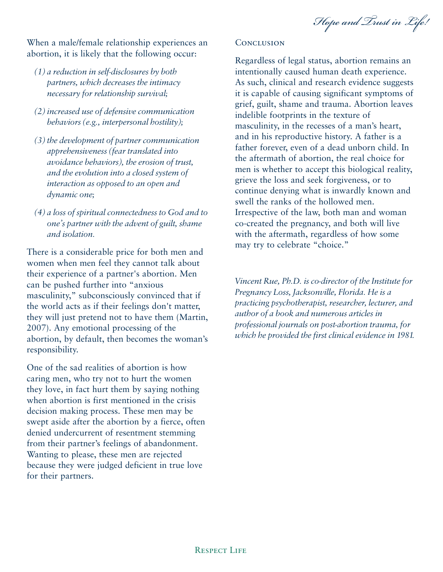*Hope and Trust in Life!*

When a male/female relationship experiences an abortion, it is likely that the following occur:

- *(1) a reduction in self-disclosures by both partners, which decreases the intimacy necessary for relationship survival;*
- *(2) increased use of defensive communication behaviors (e.g., interpersonal hostility);*
- *(3) the development of partner communication apprehensiveness (fear translated into avoidance behaviors), the erosion of trust, and the evolution into a closed system of interaction as opposed to an open and dynamic one;*
- *(4) a loss of spiritual connectedness to God and to one's partner with the advent of guilt, shame and isolation.*

There is a considerable price for both men and women when men feel they cannot talk about their experience of a partner's abortion. Men can be pushed further into "anxious masculinity," subconsciously convinced that if the world acts as if their feelings don't matter, they will just pretend not to have them (Martin, 2007). Any emotional processing of the abortion, by default, then becomes the woman's responsibility.

One of the sad realities of abortion is how caring men, who try not to hurt the women they love, in fact hurt them by saying nothing when abortion is first mentioned in the crisis decision making process. These men may be swept aside after the abortion by a fierce, often denied undercurrent of resentment stemming from their partner's feelings of abandonment. Wanting to please, these men are rejected because they were judged deficient in true love for their partners.

## **CONCLUSION**

Regardless of legal status, abortion remains an intentionally caused human death experience. As such, clinical and research evidence suggests it is capable of causing significant symptoms of grief, guilt, shame and trauma. Abortion leaves indelible footprints in the texture of masculinity, in the recesses of a man's heart, and in his reproductive history. A father is a father forever, even of a dead unborn child. In the aftermath of abortion, the real choice for men is whether to accept this biological reality, grieve the loss and seek forgiveness, or to continue denying what is inwardly known and swell the ranks of the hollowed men. Irrespective of the law, both man and woman co-created the pregnancy, and both will live with the aftermath, regardless of how some may try to celebrate "choice."

*Vincent Rue, Ph.D. is co-director of the Institute for Pregnancy Loss, Jacksonville, Florida. He is a practicing psychotherapist, researcher, lecturer, and author of a book and numerous articles in professional journals on post-abortion trauma, for which he provided the first clinical evidence in 1981.*